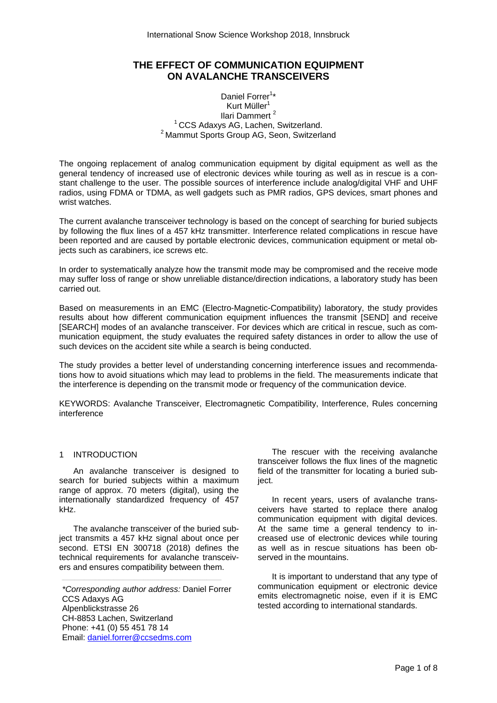# **THE EFFECT OF COMMUNICATION EQUIPMENT ON AVALANCHE TRANSCEIVERS**

# Daniel Forrer<sup>1\*</sup> Kurt Müller $1$ Ilari Dammert<sup>2</sup><br><sup>1</sup> CCS Adaxys AG, Lachen, Switzerland.  $2$  Mammut Sports Group AG, Seon, Switzerland.

The ongoing replacement of analog communication equipment by digital equipment as well as the general tendency of increased use of electronic devices while touring as well as in rescue is a constant challenge to the user. The possible sources of interference include analog/digital VHF and UHF radios, using FDMA or TDMA, as well gadgets such as PMR radios, GPS devices, smart phones and wrist watches.

The current avalanche transceiver technology is based on the concept of searching for buried subjects by following the flux lines of a 457 kHz transmitter. Interference related complications in rescue have been reported and are caused by portable electronic devices, communication equipment or metal objects such as carabiners, ice screws etc.

In order to systematically analyze how the transmit mode may be compromised and the receive mode may suffer loss of range or show unreliable distance/direction indications, a laboratory study has been carried out.

Based on measurements in an EMC (Electro-Magnetic-Compatibility) laboratory, the study provides results about how different communication equipment influences the transmit [SEND] and receive [SEARCH] modes of an avalanche transceiver. For devices which are critical in rescue, such as communication equipment, the study evaluates the required safety distances in order to allow the use of such devices on the accident site while a search is being conducted.

The study provides a better level of understanding concerning interference issues and recommendations how to avoid situations which may lead to problems in the field. The measurements indicate that the interference is depending on the transmit mode or frequency of the communication device.

KEYWORDS: Avalanche Transceiver, Electromagnetic Compatibility, Interference, Rules concerning interference

## 1 INTRODUCTION

An avalanche transceiver is designed to search for buried subjects within a maximum range of approx. 70 meters (digital), using the internationally standardized frequency of 457 kHz.

The avalanche transceiver of the buried subject transmits a 457 kHz signal about once per second. ETSI EN 300718 (2018) defines the technical requirements for avalanche transceivers and ensures compatibility between them.

*\*Corresponding author address:* Daniel Forrer CCS Adaxys AG Alpenblickstrasse 26 CH-8853 Lachen, Switzerland Phone: +41 (0) 55 451 78 14 Email: daniel.forrer@ccsedms.com

*\_\_\_\_\_\_\_\_\_\_\_\_\_\_\_\_\_\_\_\_\_\_\_\_\_\_\_\_\_\_\_\_\_\_\_\_\_\_\_\_\_\_\_\_\_\_\_\_\_\_\_\_\_\_\_\_\_\_\_\_\_\_\_\_\_\_\_\_\_\_\_\_\_\_\_\_\_\_\_\_\_\_\_\_\_\_* 

The rescuer with the receiving avalanche transceiver follows the flux lines of the magnetic field of the transmitter for locating a buried subject.

In recent years, users of avalanche transceivers have started to replace there analog communication equipment with digital devices. At the same time a general tendency to increased use of electronic devices while touring as well as in rescue situations has been observed in the mountains.

It is important to understand that any type of communication equipment or electronic device emits electromagnetic noise, even if it is EMC tested according to international standards.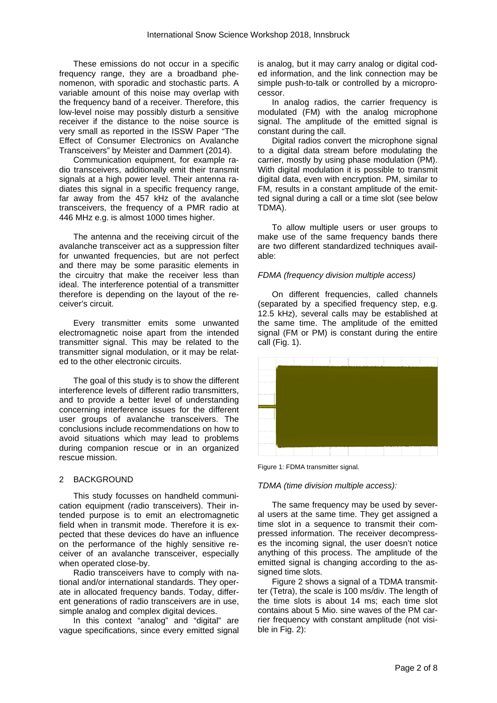These emissions do not occur in a specific frequency range, they are a broadband phenomenon, with sporadic and stochastic parts. A variable amount of this noise may overlap with the frequency band of a receiver. Therefore, this low-level noise may possibly disturb a sensitive receiver if the distance to the noise source is very small as reported in the ISSW Paper "The Effect of Consumer Electronics on Avalanche Transceivers" by Meister and Dammert (2014).

Communication equipment, for example radio transceivers, additionally emit their transmit signals at a high power level. Their antenna radiates this signal in a specific frequency range, far away from the 457 kHz of the avalanche transceivers, the frequency of a PMR radio at 446 MHz e.g. is almost 1000 times higher.

The antenna and the receiving circuit of the avalanche transceiver act as a suppression filter for unwanted frequencies, but are not perfect and there may be some parasitic elements in the circuitry that make the receiver less than ideal. The interference potential of a transmitter therefore is depending on the layout of the receiver's circuit.

Every transmitter emits some unwanted electromagnetic noise apart from the intended transmitter signal. This may be related to the transmitter signal modulation, or it may be related to the other electronic circuits.

The goal of this study is to show the different interference levels of different radio transmitters, and to provide a better level of understanding concerning interference issues for the different user groups of avalanche transceivers. The conclusions include recommendations on how to avoid situations which may lead to problems during companion rescue or in an organized rescue mission.

## 2 BACKGROUND

This study focusses on handheld communication equipment (radio transceivers). Their intended purpose is to emit an electromagnetic field when in transmit mode. Therefore it is expected that these devices do have an influence on the performance of the highly sensitive receiver of an avalanche transceiver, especially when operated close-by.

Radio transceivers have to comply with national and/or international standards. They operate in allocated frequency bands. Today, different generations of radio transceivers are in use, simple analog and complex digital devices.

In this context "analog" and "digital" are vague specifications, since every emitted signal is analog, but it may carry analog or digital coded information, and the link connection may be simple push-to-talk or controlled by a microprocessor.

In analog radios, the carrier frequency is modulated (FM) with the analog microphone signal. The amplitude of the emitted signal is constant during the call.

Digital radios convert the microphone signal to a digital data stream before modulating the carrier, mostly by using phase modulation (PM). With digital modulation it is possible to transmit digital data, even with encryption. PM, similar to FM, results in a constant amplitude of the emitted signal during a call or a time slot (see below TDMA).

To allow multiple users or user groups to make use of the same frequency bands there are two different standardized techniques available:

## *FDMA (frequency division multiple access)*

On different frequencies, called channels (separated by a specified frequency step, e.g. 12.5 kHz), several calls may be established at the same time. The amplitude of the emitted signal (FM or PM) is constant during the entire call (Fig. 1).



Figure 1: FDMA transmitter signal.

## *TDMA (time division multiple access):*

The same frequency may be used by several users at the same time. They get assigned a time slot in a sequence to transmit their compressed information. The receiver decompresses the incoming signal, the user doesn't notice anything of this process. The amplitude of the emitted signal is changing according to the assigned time slots.

Figure 2 shows a signal of a TDMA transmitter (Tetra), the scale is 100 ms/div. The length of the time slots is about 14 ms; each time slot contains about 5 Mio. sine waves of the PM carrier frequency with constant amplitude (not visible in Fig. 2):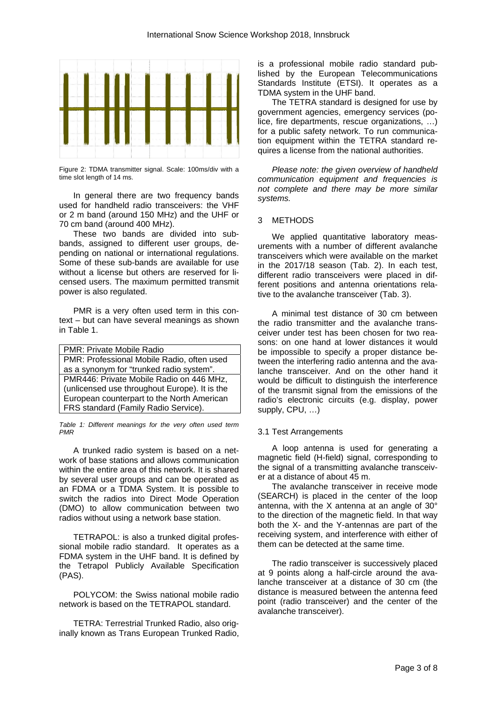

Figure 2: TDMA transmitter signal. Scale: 100ms/div with a time slot length of 14 ms.

In general there are two frequency bands used for handheld radio transceivers: the VHF or 2 m band (around 150 MHz) and the UHF or 70 cm band (around 400 MHz).

These two bands are divided into subbands, assigned to different user groups, depending on national or international regulations. Some of these sub-bands are available for use without a license but others are reserved for licensed users. The maximum permitted transmit power is also regulated.

PMR is a very often used term in this context – but can have several meanings as shown in Table 1.

| <b>PMR: Private Mobile Radio</b>              |
|-----------------------------------------------|
| PMR: Professional Mobile Radio, often used    |
| as a synonym for "trunked radio system".      |
| PMR446: Private Mobile Radio on 446 MHz,      |
| (unlicensed use throughout Europe). It is the |
| European counterpart to the North American    |
| FRS standard (Family Radio Service).          |

*Table 1: Different meanings for the very often used term PMR* 

A trunked radio system is based on a network of base stations and allows communication within the entire area of this network. It is shared by several user groups and can be operated as an FDMA or a TDMA System. It is possible to switch the radios into Direct Mode Operation (DMO) to allow communication between two radios without using a network base station.

TETRAPOL: is also a trunked digital professional mobile radio standard. It operates as a FDMA system in the UHF band. It is defined by the Tetrapol Publicly Available Specification (PAS).

POLYCOM: the Swiss national mobile radio network is based on the TETRAPOL standard.

TETRA: Terrestrial Trunked Radio, also originally known as Trans European Trunked Radio, is a professional mobile radio standard published by the European Telecommunications Standards Institute (ETSI). It operates as a TDMA system in the UHF band.

The TETRA standard is designed for use by government agencies, emergency services (police, fire departments, rescue organizations, …) for a public safety network. To run communication equipment within the TETRA standard requires a license from the national authorities.

*Please note: the given overview of handheld communication equipment and frequencies is not complete and there may be more similar systems.* 

#### 3 METHODS

We applied quantitative laboratory measurements with a number of different avalanche transceivers which were available on the market in the 2017/18 season (Tab. 2). In each test, different radio transceivers were placed in different positions and antenna orientations relative to the avalanche transceiver (Tab. 3).

A minimal test distance of 30 cm between the radio transmitter and the avalanche transceiver under test has been chosen for two reasons: on one hand at lower distances it would be impossible to specify a proper distance between the interfering radio antenna and the avalanche transceiver. And on the other hand it would be difficult to distinguish the interference of the transmit signal from the emissions of the radio's electronic circuits (e.g. display, power supply, CPU, …)

# 3.1 Test Arrangements

A loop antenna is used for generating a magnetic field (H-field) signal, corresponding to the signal of a transmitting avalanche transceiver at a distance of about 45 m.

The avalanche transceiver in receive mode (SEARCH) is placed in the center of the loop antenna, with the X antenna at an angle of 30° to the direction of the magnetic field. In that way both the X- and the Y-antennas are part of the receiving system, and interference with either of them can be detected at the same time.

The radio transceiver is successively placed at 9 points along a half-circle around the avalanche transceiver at a distance of 30 cm (the distance is measured between the antenna feed point (radio transceiver) and the center of the avalanche transceiver).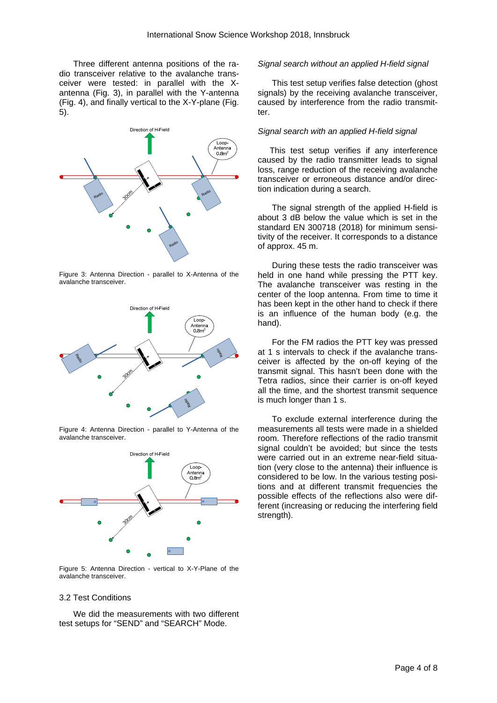Three different antenna positions of the radio transceiver relative to the avalanche transceiver were tested: in parallel with the Xantenna (Fig. 3), in parallel with the Y-antenna (Fig. 4), and finally vertical to the X-Y-plane (Fig. 5).



Figure 3: Antenna Direction - parallel to X-Antenna of the avalanche transceiver.



Figure 4: Antenna Direction - parallel to Y-Antenna of the avalanche transceiver.



Figure 5: Antenna Direction - vertical to X-Y-Plane of the avalanche transceiver.

## *Signal search without an applied H-field signal*

This test setup verifies false detection (ghost signals) by the receiving avalanche transceiver, caused by interference from the radio transmitter.

#### *Signal search with an applied H-field signal*

This test setup verifies if any interference caused by the radio transmitter leads to signal loss, range reduction of the receiving avalanche transceiver or erroneous distance and/or direction indication during a search.

The signal strength of the applied H-field is about 3 dB below the value which is set in the standard EN 300718 (2018) for minimum sensitivity of the receiver. It corresponds to a distance of approx. 45 m.

During these tests the radio transceiver was held in one hand while pressing the PTT key. The avalanche transceiver was resting in the center of the loop antenna. From time to time it has been kept in the other hand to check if there is an influence of the human body (e.g. the hand).

For the FM radios the PTT key was pressed at 1 s intervals to check if the avalanche transceiver is affected by the on-off keying of the transmit signal. This hasn't been done with the Tetra radios, since their carrier is on-off keyed all the time, and the shortest transmit sequence is much longer than 1 s.

To exclude external interference during the measurements all tests were made in a shielded room. Therefore reflections of the radio transmit signal couldn't be avoided; but since the tests were carried out in an extreme near-field situation (very close to the antenna) their influence is considered to be low. In the various testing positions and at different transmit frequencies the possible effects of the reflections also were different (increasing or reducing the interfering field strength).

#### 3.2 Test Conditions

We did the measurements with two different test setups for "SEND" and "SEARCH" Mode.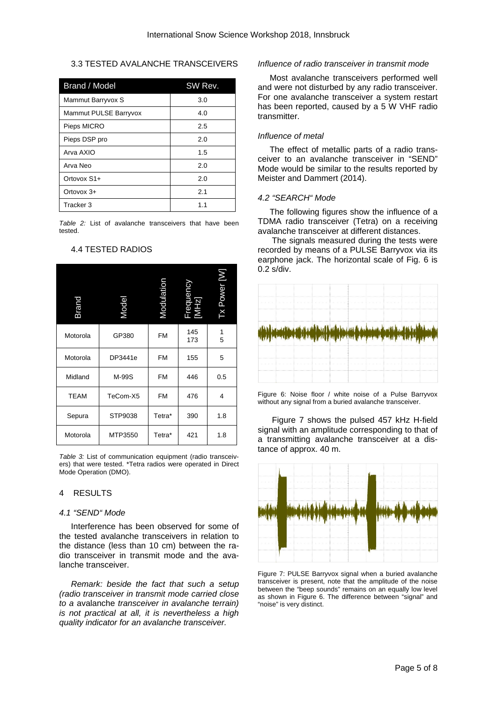## 3.3 TESTED AVALANCHE TRANSCEIVERS

| Brand / Model         | SW Rev. |
|-----------------------|---------|
| Mammut Barryvox S     | 3.0     |
| Mammut PULSE Barryvox | 4.0     |
| Pieps MICRO           | 2.5     |
| Pieps DSP pro         | 2.0     |
| Arva AXIO             | 1.5     |
| Arva Neo              | 2.0     |
| Ortovox S1+           | 2.0     |
| Ortovox $3+$          | 2.1     |
| Tracker 3             | 1.1     |

*Table 2:* List of avalanche transceivers that have been tested.

| <b>Brand</b> | Model    | Modulatio | Frequer<br>[MHz] | Tx Power [W] |
|--------------|----------|-----------|------------------|--------------|
| Motorola     | GP380    | <b>FM</b> | 145<br>173       | 1<br>5       |
| Motorola     | DP3441e  | <b>FM</b> | 155              | 5            |
| Midland      | M-99S    | <b>FM</b> | 446              | 0.5          |
| <b>TEAM</b>  | TeCom-X5 | <b>FM</b> | 476              | 4            |
| Sepura       | STP9038  | Tetra*    | 390              | 1.8          |
| Motorola     | MTP3550  | Tetra*    | 421              | 1.8          |

# 4.4 TESTED RADIOS

*Table 3:* List of communication equipment (radio transceivers) that were tested. \*Tetra radios were operated in Direct Mode Operation (DMO).

## 4 RESULTS

#### *4.1 "SEND" Mode*

Interference has been observed for some of the tested avalanche transceivers in relation to the distance (less than 10 cm) between the radio transceiver in transmit mode and the avalanche transceiver.

*Remark: beside the fact that such a setup (radio transceiver in transmit mode carried close to a* avalanche *transceiver in avalanche terrain) is not practical at all, it is nevertheless a high quality indicator for an avalanche transceiver.* 

#### *Influence of radio transceiver in transmit mode*

Most avalanche transceivers performed well and were not disturbed by any radio transceiver. For one avalanche transceiver a system restart has been reported, caused by a 5 W VHF radio transmitter.

#### *Influence of metal*

The effect of metallic parts of a radio transceiver to an avalanche transceiver in "SEND" Mode would be similar to the results reported by Meister and Dammert (2014).

## *4.2 "SEARCH" Mode*

The following figures show the influence of a TDMA radio transceiver (Tetra) on a receiving avalanche transceiver at different distances.

The signals measured during the tests were recorded by means of a PULSE Barryvox via its earphone jack. The horizontal scale of Fig. 6 is 0.2 s/div.



Figure 6: Noise floor / white noise of a Pulse Barryvox without any signal from a buried avalanche transceiver.

Figure 7 shows the pulsed 457 kHz H-field signal with an amplitude corresponding to that of a transmitting avalanche transceiver at a distance of approx. 40 m.



Figure 7: PULSE Barryvox signal when a buried avalanche transceiver is present, note that the amplitude of the noise between the "beep sounds" remains on an equally low level as shown in Figure 6. The difference between "signal" and "noise" is very distinct.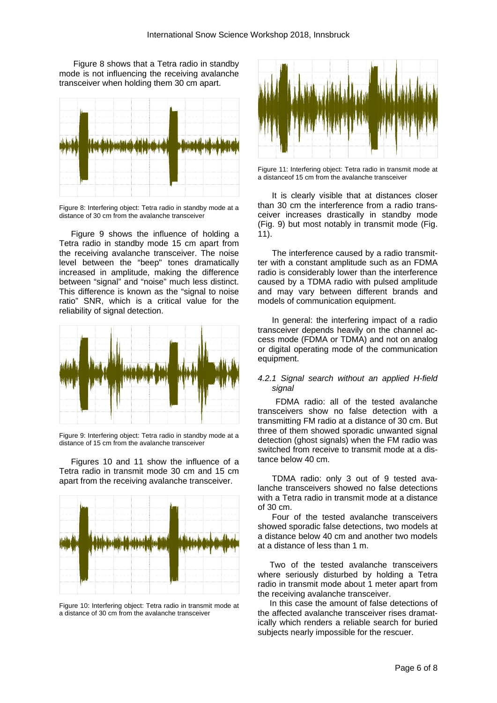Figure 8 shows that a Tetra radio in standby mode is not influencing the receiving avalanche transceiver when holding them 30 cm apart.



Figure 8: Interfering object: Tetra radio in standby mode at a distance of 30 cm from the avalanche transceiver

Figure 9 shows the influence of holding a Tetra radio in standby mode 15 cm apart from the receiving avalanche transceiver. The noise level between the "beep" tones dramatically increased in amplitude, making the difference between "signal" and "noise" much less distinct. This difference is known as the "signal to noise ratio" SNR, which is a critical value for the reliability of signal detection.



Figure 9: Interfering object: Tetra radio in standby mode at a distance of 15 cm from the avalanche transceiver

Figures 10 and 11 show the influence of a Tetra radio in transmit mode 30 cm and 15 cm apart from the receiving avalanche transceiver.



Figure 10: Interfering object: Tetra radio in transmit mode at a distance of 30 cm from the avalanche transceiver



Figure 11: Interfering object: Tetra radio in transmit mode at a distanceof 15 cm from the avalanche transceiver

It is clearly visible that at distances closer than 30 cm the interference from a radio transceiver increases drastically in standby mode (Fig. 9) but most notably in transmit mode (Fig. 11).

The interference caused by a radio transmitter with a constant amplitude such as an FDMA radio is considerably lower than the interference caused by a TDMA radio with pulsed amplitude and may vary between different brands and models of communication equipment.

In general: the interfering impact of a radio transceiver depends heavily on the channel access mode (FDMA or TDMA) and not on analog or digital operating mode of the communication equipment.

## *4.2.1 Signal search without an applied H-field signal*

FDMA radio: all of the tested avalanche transceivers show no false detection with a transmitting FM radio at a distance of 30 cm. But three of them showed sporadic unwanted signal detection (ghost signals) when the FM radio was switched from receive to transmit mode at a distance below 40 cm.

TDMA radio: only 3 out of 9 tested avalanche transceivers showed no false detections with a Tetra radio in transmit mode at a distance of 30 cm.

Four of the tested avalanche transceivers showed sporadic false detections, two models at a distance below 40 cm and another two models at a distance of less than 1 m.

Two of the tested avalanche transceivers where seriously disturbed by holding a Tetra radio in transmit mode about 1 meter apart from the receiving avalanche transceiver.

In this case the amount of false detections of the affected avalanche transceiver rises dramatically which renders a reliable search for buried subjects nearly impossible for the rescuer.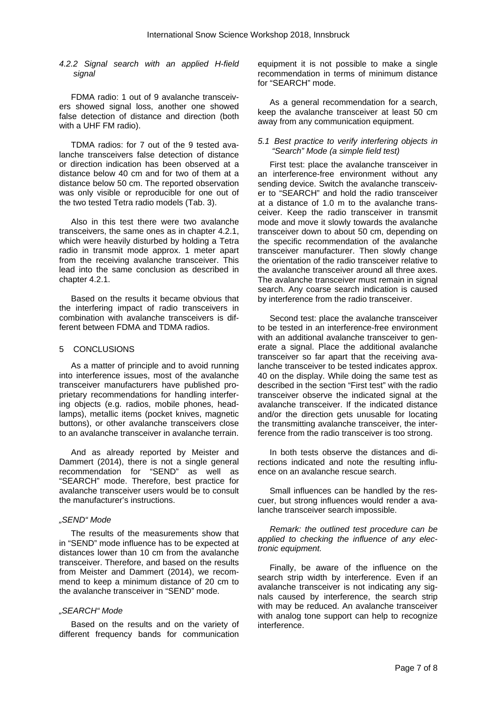#### *4.2.2 Signal search with an applied H-field signal*

FDMA radio: 1 out of 9 avalanche transceivers showed signal loss, another one showed false detection of distance and direction (both with a UHF FM radio).

TDMA radios: for 7 out of the 9 tested avalanche transceivers false detection of distance or direction indication has been observed at a distance below 40 cm and for two of them at a distance below 50 cm. The reported observation was only visible or reproducible for one out of the two tested Tetra radio models (Tab. 3).

Also in this test there were two avalanche transceivers, the same ones as in chapter 4.2.1, which were heavily disturbed by holding a Tetra radio in transmit mode approx. 1 meter apart from the receiving avalanche transceiver. This lead into the same conclusion as described in chapter 4.2.1.

Based on the results it became obvious that the interfering impact of radio transceivers in combination with avalanche transceivers is different between FDMA and TDMA radios.

#### 5 CONCLUSIONS

As a matter of principle and to avoid running into interference issues, most of the avalanche transceiver manufacturers have published proprietary recommendations for handling interfering objects (e.g. radios, mobile phones, headlamps), metallic items (pocket knives, magnetic buttons), or other avalanche transceivers close to an avalanche transceiver in avalanche terrain.

And as already reported by Meister and Dammert (2014), there is not a single general recommendation for "SEND" as well as "SEARCH" mode. Therefore, best practice for avalanche transceiver users would be to consult the manufacturer's instructions.

# *"SEND" Mode*

The results of the measurements show that in "SEND" mode influence has to be expected at distances lower than 10 cm from the avalanche transceiver. Therefore, and based on the results from Meister and Dammert (2014), we recommend to keep a minimum distance of 20 cm to the avalanche transceiver in "SEND" mode.

# *"SEARCH" Mode*

Based on the results and on the variety of different frequency bands for communication

equipment it is not possible to make a single recommendation in terms of minimum distance for "SEARCH" mode.

As a general recommendation for a search, keep the avalanche transceiver at least 50 cm away from any communication equipment.

## *5.1 Best practice to verify interfering objects in "Search" Mode (a simple field test)*

First test: place the avalanche transceiver in an interference-free environment without any sending device. Switch the avalanche transceiver to "SEARCH" and hold the radio transceiver at a distance of 1.0 m to the avalanche transceiver. Keep the radio transceiver in transmit mode and move it slowly towards the avalanche transceiver down to about 50 cm, depending on the specific recommendation of the avalanche transceiver manufacturer. Then slowly change the orientation of the radio transceiver relative to the avalanche transceiver around all three axes. The avalanche transceiver must remain in signal search. Any coarse search indication is caused by interference from the radio transceiver.

Second test: place the avalanche transceiver to be tested in an interference-free environment with an additional avalanche transceiver to generate a signal. Place the additional avalanche transceiver so far apart that the receiving avalanche transceiver to be tested indicates approx. 40 on the display. While doing the same test as described in the section "First test" with the radio transceiver observe the indicated signal at the avalanche transceiver. If the indicated distance and/or the direction gets unusable for locating the transmitting avalanche transceiver, the interference from the radio transceiver is too strong.

In both tests observe the distances and directions indicated and note the resulting influence on an avalanche rescue search.

Small influences can be handled by the rescuer, but strong influences would render a avalanche transceiver search impossible.

*Remark: the outlined test procedure can be applied to checking the influence of any electronic equipment.* 

Finally, be aware of the influence on the search strip width by interference. Even if an avalanche transceiver is not indicating any signals caused by interference, the search strip with may be reduced. An avalanche transceiver with analog tone support can help to recognize interference.